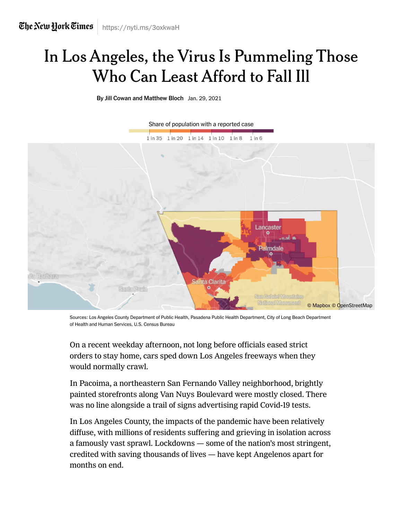## In Los Angeles, the Virus Is Pummeling Those Who Can Least Afford to Fall Ill

By [Jill Cowan](https://www.nytimes.com/by/jill-cowan) and [Matthew Bloch](https://www.nytimes.com/by/matthew-bloch) Jan. 29, 2021



Sources: Los Angeles County Department of Public Health, Pasadena Public Health Department, City of Long Beach Department of Health and Human Services, U.S. Census Bureau

On a recent weekday afternoon, not long before officials eased strict orders to stay home, cars sped down Los Angeles freeways when they would normally crawl.

In Pacoima, a northeastern San Fernando Valley neighborhood, brightly painted storefronts along Van Nuys Boulevard were mostly closed. There was no line alongside a trail of signs advertising rapid Covid-19 tests.

In Los Angeles County, the impacts of the pandemic have been relatively diffuse, with millions of residents suffering and grieving in isolation across a famously vast sprawl. Lockdowns — some of the nation's most stringent, credited with saving thousands of lives — have kept Angelenos apart for months on end.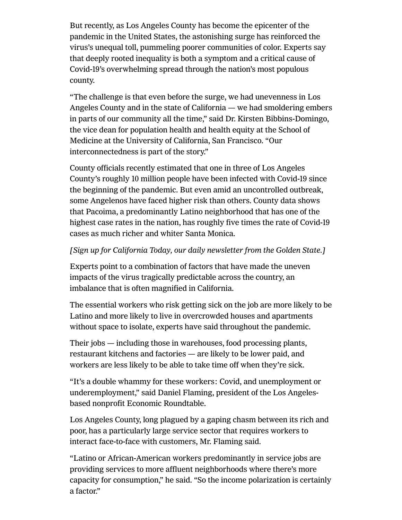But recently, as Los Angeles County has become the epicenter of the pandemic in the United States, the astonishing surge has reinforced the virus's unequal toll, pummeling poorer communities of color. Experts say that deeply rooted inequality is both a symptom and a critical cause of Covid-19's overwhelming spread through the nation's most populous county.

"The challenge is that even before the surge, we had unevenness in Los Angeles County and in the state of California — we had smoldering embers in parts of our community all the time," said Dr. Kirsten Bibbins-Domingo, the vice dean for population health and health equity at the School of Medicine at the University of California, San Francisco. "Our interconnectedness is part of the story."

County officials recently estimated that one in [three](https://www.latimes.com/california/story/2021-01-14/one-in-three-la-county-residents-infected-coronavirus) of Los Angeles County's roughly 10 million people have been infected with Covid-19 since the beginning of the pandemic. But even amid an uncontrolled outbreak, some Angelenos have faced higher risk than others. County data shows that Pacoima, a predominantly Latino neighborhood that has one of the highest case rates in the nation, has roughly five times the rate of Covid-19 cases as much richer and whiter Santa Monica.

## [Sign up for [California](https://www.nytimes.com/newsletters/california-today) Today, our daily newsletter from the Golden State.]

Experts point to a combination of factors that have made the uneven impacts of the virus tragically predictable across the country, an imbalance that is often magnified in California.

The essential workers who risk getting sick on the job [are](https://www.nytimes.com/2020/06/26/us/corona-virus-latinos.html) more [likely](https://www.nytimes.com/2020/06/26/us/corona-virus-latinos.html) to be Latino and more likely to live in [overcrowded](https://www.nytimes.com/2020/06/26/us/corona-virus-latinos.html) houses and apartments without space to isolate, [experts](https://www.medrxiv.org/content/10.1101/2021.01.21.21250266v1.full-text) have said [throughout](https://clc.ucmerced.edu.672elmp01.blackmesh.com/sites/clc.ucmerced.edu/files/page/documents/hidden_threat_july_12.pdf) the pandemic.

Their jobs — including those in [warehouses,](https://www.nytimes.com/2020/07/09/us/coronavirus-ca-warehouse-workers.html) food [processing](https://www.nytimes.com/2020/04/13/business/coronavirus-food-supply.html) plants, [restaurant](https://www.nytimes.com/2020/08/12/health/Covid-restaurants-bars.html) kitchens and [factories](https://www.fastcompany.com/90531703/i-dont-really-have-a-choice-la-garment-workers-are-risking-their-lives-to-sew-masks) — are likely to be lower paid, and workers are less likely to be able to take time off when they're sick.

"It's a double whammy for these workers: Covid, and unemployment or underemployment," said Daniel Flaming, president of the Los Angelesbased nonprofit Economic Roundtable.

Los Angeles County, long plagued by a gaping chasm between its rich and poor, has a particularly large service sector that requires workers to interact face-to-face with customers, Mr. Flaming said.

"Latino or African-American workers predominantly in service jobs are providing services to more affluent neighborhoods where there's more capacity for consumption," he said. "So the income polarization is certainly a factor."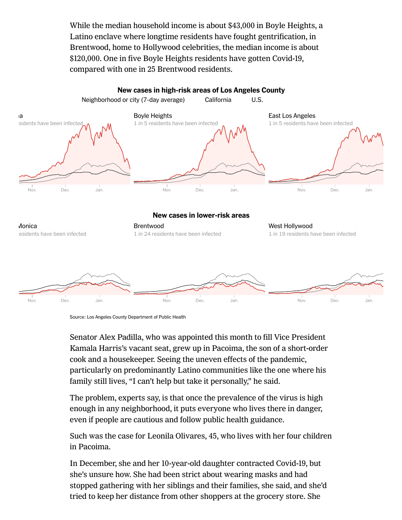While the median household income is about \$43,000 in Boyle Heights, a Latino enclave where longtime residents have fought [gentrification,](https://www.washingtonpost.com/business/2020/07/31/ethnic-enclaves-gentrification-coronavirus/?arc404=true) in Brentwood, home to Hollywood celebrities, the median income is about \$120,000. One in five Boyle Heights residents have gotten Covid-19, compared with one in 25 Brentwood residents.



Source: Los Angeles County Department of Public Health

Senator Alex Padilla, who was appointed this month to fill Vice President Kamala Harris's vacant seat, grew up in [Pacoima](https://www.nytimes.com/2020/11/29/us/California-senate-seat-padilla-newsom.html), the son of a short-order cook and a housekeeper. Seeing the uneven effects of the pandemic, particularly on predominantly Latino communities like the one where his family still lives, "I can't help but take it personally," he said.

The problem, experts say, is that once the prevalence of the virus is high enough in any neighborhood, it puts everyone who lives there in danger, even if people are cautious and follow public health guidance.

Such was the case for Leonila Olivares, 45, who lives with her four children in Pacoima.

In December, she and her 10-year-old daughter contracted Covid-19, but she's unsure how. She had been strict about wearing masks and had stopped gathering with her siblings and their families, she said, and she'd tried to keep her distance from other shoppers at the grocery store. She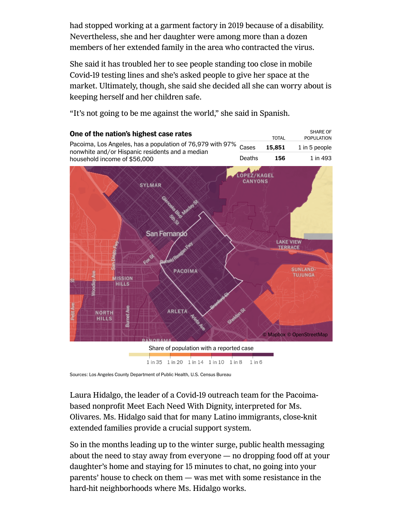had stopped working at a garment factory in 2019 because of a disability. Nevertheless, she and her daughter were among more than a dozen members of her extended family in the area who contracted the virus.

She said it has troubled her to see people standing too close in mobile Covid-19 testing lines and she's asked people to give her space at the market. Ultimately, though, she said she decided all she can worry about is keeping herself and her children safe.

"It's not going to be me against the world," she said in Spanish.



Sources: Los Angeles County Department of Public Health, U.S. Census Bureau

Laura Hidalgo, the leader of a Covid-19 outreach team for the Pacoimabased nonprofit Meet Each Need With Dignity, interpreted for Ms. Olivares. Ms. Hidalgo said that for many Latino immigrants, close-knit extended families provide a crucial support system.

So in the months leading up to the winter surge, public health messaging about the need to stay away from everyone — no dropping food off at your daughter's home and staying for 15 minutes to chat, no going into your parents' house to check on them — was met with some resistance in the hard-hit neighborhoods where Ms. Hidalgo works.